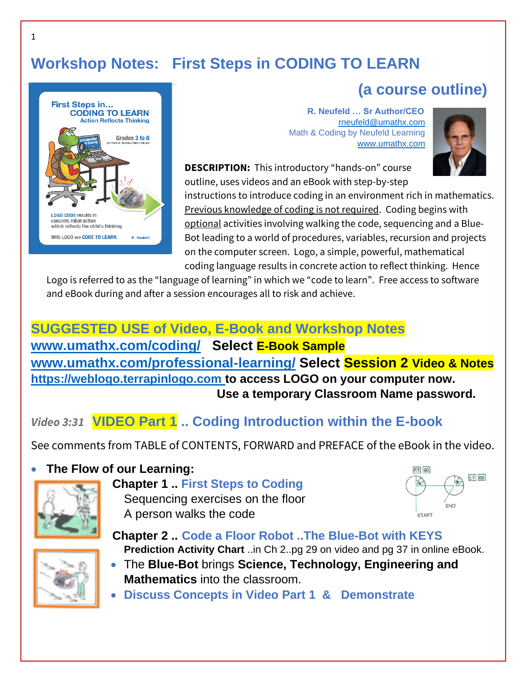# **Workshop Notes: First Steps in CODING TO LEARN**



 **R. Neufeld … Sr Author/CEO** [rneufeld@umathx.com](mailto:rneufeld@umathx.com) Math & Coding by Neufeld Learning [www.umathx.com](http://www.umathx.com/)



 **(a course outline)**

**DESCRIPTION:** This introductory "hands-on" course outline, uses videos and an eBook with step-by-step

instructions to introduce coding in an environment rich in mathematics. Previous knowledge of coding is not required.Coding begins with optional activities involving walking the code, sequencing and a Blue-Bot leading to a world of procedures, variables, recursion and projects on the computer screen. Logo, a simple, powerful, mathematical coding language results in concrete action to reflect thinking. Hence

Logo is referred to as the "language of learning" in which we "code to learn".Free access to software and eBook during and after a session encourages all to risk and achieve.

## **SUGGESTED USE of Video, E-Book and Workshop Notes**

**[www.umathx.com/coding/](http://www.umathx.com/coding/) Select E-Book Sample [www.umathx.com/professional-learning/](http://www.umathx.com/professional-learning/) Select Session 2 Video & Notes [https://weblogo.terrapinlogo.com](https://weblogo.terrapinlogo.com/) to access LOGO on your computer now. Use a temporary Classroom Name password.**

## *Video 3:31* **VIDEO Part 1 .. Coding Introduction within the E-book**

See comments from TABLE of CONTENTS, FORWARD and PREFACE of the eBook in the video.

#### • **The Flow of our Learning:**



### **Chapter 1 .. First Steps to Coding**  Sequencing exercises on the floor A person walks the code





#### **Chapter 2 .. Code a Floor Robot ..The Blue-Bot with KEYS Prediction Activity Chart** ..in Ch 2..pg 29 on video and pg 37 in online eBook.

- The **Blue-Bot** brings **Science, Technology, Engineering and Mathematics** into the classroom.
- **Discuss Concepts in Video Part 1 & Demonstrate**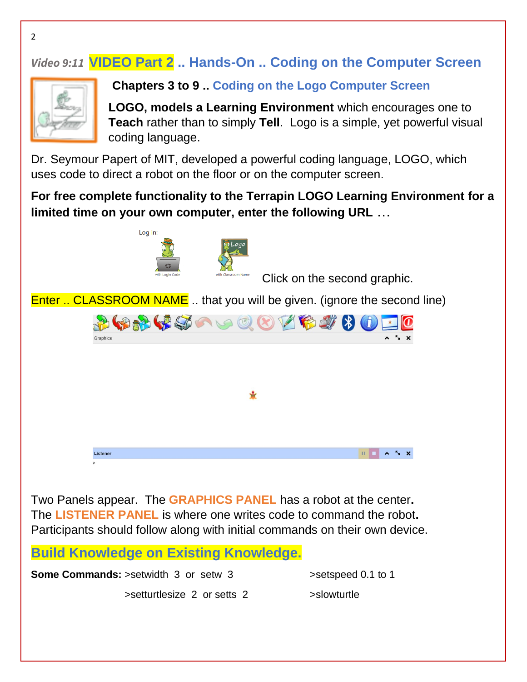# *Video 9:11* **VIDEO Part 2 .. Hands-On .. Coding on the Computer Screen**



**Chapters 3 to 9 .. Coding on the Logo Computer Screen**

**LOGO, models a Learning Environment** which encourages one to **Teach** rather than to simply **Tell**. Logo is a simple, yet powerful visual coding language.

Dr. Seymour Papert of MIT, developed a powerful coding language, LOGO, which uses code to direct a robot on the floor or on the computer screen.

**For free complete functionality to the Terrapin LOGO Learning Environment for a limited time on your own computer, enter the following URL** …



Two Panels appear. The **GRAPHICS PANEL** has a robot at the center**.** The **LISTENER PANEL** is where one writes code to command the robot**.** Participants should follow along with initial commands on their own device.

**Build Knowledge on Existing Knowledge.**

**Some Commands:** >setwidth 3 or setw 3 >setspeed 0.1 to 1

>setturtlesize 2 or setts 2 >slowturtle

2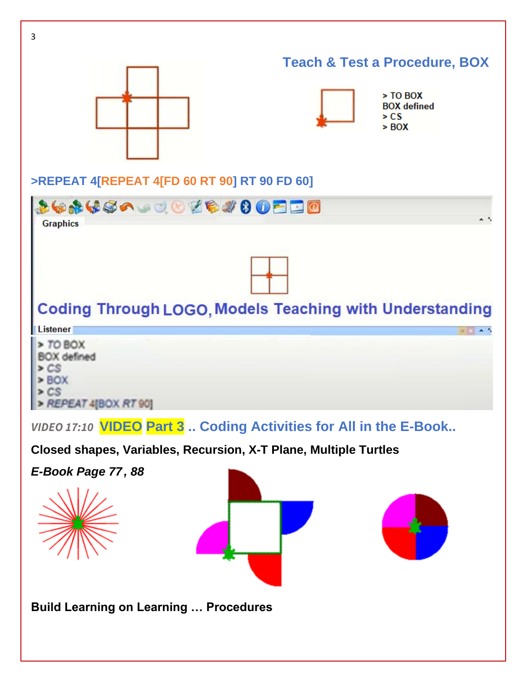

**Build Learning on Learning … Procedures**

3